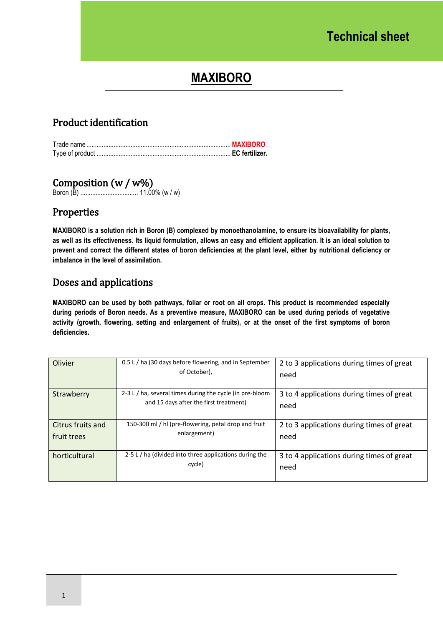# **MAXIBORO**

## Product identification

#### Composition (w / w%)

Boron (B) .................................. 11.00% (w / w)

## Properties

**MAXIBORO is a solution rich in Boron (B) complexed by monoethanolamine, to ensure its bioavailability for plants, as well as its effectiveness. Its liquid formulation, allows an easy and efficient application. It is an ideal solution to prevent and correct the different states of boron deficiencies at the plant level, either by nutritional deficiency or imbalance in the level of assimilation.** 

#### Doses and applications

**MAXIBORO can be used by both pathways, foliar or root on all crops. This product is recommended especially during periods of Boron needs. As a preventive measure, MAXIBORO can be used during periods of vegetative activity (growth, flowering, setting and enlargement of fruits), or at the onset of the first symptoms of boron deficiencies.**

| Olivier                          | 0.5 L / ha (30 days before flowering, and in September<br>of October),                             | 2 to 3 applications during times of great<br>need |
|----------------------------------|----------------------------------------------------------------------------------------------------|---------------------------------------------------|
| Strawberry                       | 2-3 L / ha, several times during the cycle (in pre-bloom<br>and 15 days after the first treatment) | 3 to 4 applications during times of great<br>need |
| Citrus fruits and<br>fruit trees | 150-300 ml / hl (pre-flowering, petal drop and fruit<br>enlargement)                               | 2 to 3 applications during times of great<br>need |
| horticultural                    | 2-5 L / ha (divided into three applications during the<br>cycle)                                   | 3 to 4 applications during times of great<br>need |